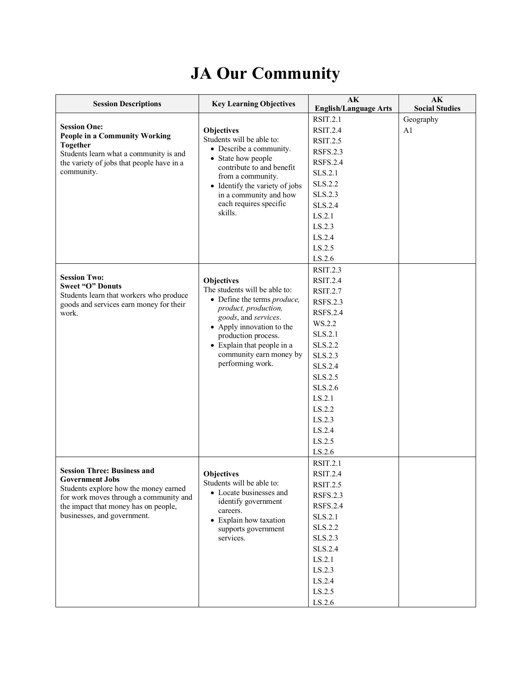## **JA Our Community**

| <b>Session Descriptions</b>                                                         | <b>Key Learning Objectives</b>                           | AK<br><b>English/Language Arts</b> | AK<br><b>Social Studies</b> |
|-------------------------------------------------------------------------------------|----------------------------------------------------------|------------------------------------|-----------------------------|
|                                                                                     |                                                          | <b>RSIT.2.1</b>                    | Geography                   |
| <b>Session One:</b>                                                                 | <b>Objectives</b>                                        | <b>RSIT.2.4</b>                    | A <sub>1</sub>              |
| People in a Community Working                                                       | Students will be able to:                                | <b>RSIT.2.5</b>                    |                             |
| <b>Together</b>                                                                     | • Describe a community.                                  | <b>RSFS.2.3</b>                    |                             |
| Students learn what a community is and<br>the variety of jobs that people have in a | • State how people                                       | <b>RSFS.2.4</b>                    |                             |
| community.                                                                          | contribute to and benefit                                | SLS.2.1                            |                             |
|                                                                                     | from a community.                                        | SLS.2.2                            |                             |
|                                                                                     | • Identify the variety of jobs<br>in a community and how | SLS.2.3                            |                             |
|                                                                                     | each requires specific                                   | SLS.2.4                            |                             |
|                                                                                     | skills.                                                  | LS.2.1                             |                             |
|                                                                                     |                                                          | LS.2.3                             |                             |
|                                                                                     |                                                          | LS.2.4                             |                             |
|                                                                                     |                                                          | LS.2.5                             |                             |
|                                                                                     |                                                          | LS.2.6                             |                             |
|                                                                                     |                                                          | <b>RSIT.2.3</b>                    |                             |
| <b>Session Two:</b>                                                                 | <b>Objectives</b>                                        | <b>RSIT.2.4</b>                    |                             |
| <b>Sweet "O" Donuts</b>                                                             | The students will be able to:                            | <b>RSIT.2.7</b>                    |                             |
| Students learn that workers who produce                                             | • Define the terms produce,                              | <b>RSFS.2.3</b>                    |                             |
| goods and services earn money for their<br>work.                                    | product, production,                                     | <b>RSFS.2.4</b>                    |                             |
|                                                                                     | goods, and services.                                     | WS.2.2                             |                             |
|                                                                                     | • Apply innovation to the<br>production process.         | SLS.2.1                            |                             |
|                                                                                     | $\bullet$ Explain that people in a                       | SLS.2.2                            |                             |
|                                                                                     | community earn money by                                  | SLS.2.3                            |                             |
|                                                                                     | performing work.                                         | SLS.2.4                            |                             |
|                                                                                     |                                                          | SLS.2.5                            |                             |
|                                                                                     |                                                          | SLS.2.6                            |                             |
|                                                                                     |                                                          | LS.2.1                             |                             |
|                                                                                     |                                                          | LS.2.2                             |                             |
|                                                                                     |                                                          | LS.2.3                             |                             |
|                                                                                     |                                                          | LS.2.4                             |                             |
|                                                                                     |                                                          | LS.2.5                             |                             |
|                                                                                     |                                                          | $\text{LS}.2.6$                    |                             |
|                                                                                     |                                                          | <b>RSIT.2.1</b>                    |                             |
| <b>Session Three: Business and</b>                                                  | <b>Objectives</b>                                        | <b>RSIT.2.4</b>                    |                             |
| <b>Government Jobs</b>                                                              | Students will be able to:                                | <b>RSIT.2.5</b>                    |                             |
| Students explore how the money earned<br>for work moves through a community and     | • Locate businesses and                                  | <b>RSFS.2.3</b>                    |                             |
| the impact that money has on people,                                                | identify government                                      | <b>RSFS.2.4</b>                    |                             |
| businesses, and government.                                                         | careers.<br>• Explain how taxation                       | SLS.2.1                            |                             |
|                                                                                     | supports government                                      | SLS.2.2                            |                             |
|                                                                                     | services.                                                | SLS.2.3                            |                             |
|                                                                                     |                                                          | SLS.2.4                            |                             |
|                                                                                     |                                                          | LS.2.1                             |                             |
|                                                                                     |                                                          | LS.2.3                             |                             |
|                                                                                     |                                                          | LS.2.4                             |                             |
|                                                                                     |                                                          | LS.2.5                             |                             |
|                                                                                     |                                                          | LS.2.6                             |                             |